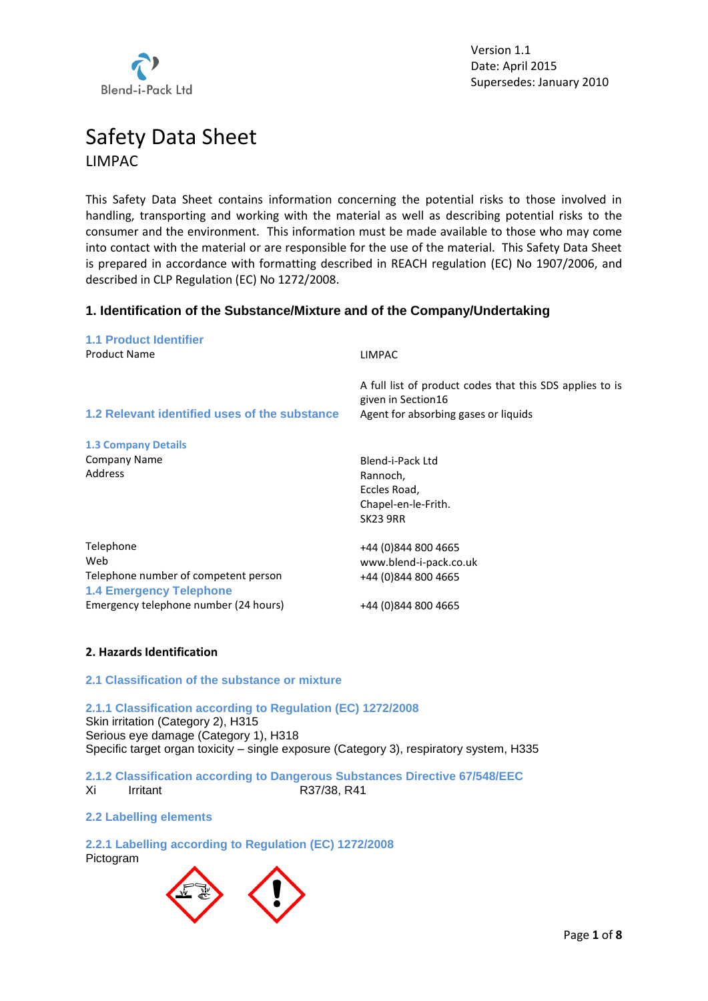

# Safety Data Sheet LIMPAC

This Safety Data Sheet contains information concerning the potential risks to those involved in handling, transporting and working with the material as well as describing potential risks to the consumer and the environment. This information must be made available to those who may come into contact with the material or are responsible for the use of the material. This Safety Data Sheet is prepared in accordance with formatting described in REACH regulation (EC) No 1907/2006, and described in CLP Regulation (EC) No 1272/2008.

# **1. Identification of the Substance/Mixture and of the Company/Undertaking**

| <b>1.1 Product Identifier</b>                 |                                                                                                                        |
|-----------------------------------------------|------------------------------------------------------------------------------------------------------------------------|
| <b>Product Name</b>                           | <b>LIMPAC</b>                                                                                                          |
| 1.2 Relevant identified uses of the substance | A full list of product codes that this SDS applies to is<br>given in Section16<br>Agent for absorbing gases or liquids |
| <b>1.3 Company Details</b>                    |                                                                                                                        |
| <b>Company Name</b>                           | Blend-i-Pack Ltd                                                                                                       |
| Address                                       | Rannoch,                                                                                                               |
|                                               | Eccles Road,                                                                                                           |
|                                               | Chapel-en-le-Frith.                                                                                                    |
|                                               | <b>SK23 9RR</b>                                                                                                        |
| Telephone                                     | +44 (0)844 800 4665                                                                                                    |
| Web                                           | www.blend-i-pack.co.uk                                                                                                 |
| Telephone number of competent person          | +44 (0)844 800 4665                                                                                                    |
| <b>1.4 Emergency Telephone</b>                |                                                                                                                        |
| Emergency telephone number (24 hours)         | +44 (0)844 800 4665                                                                                                    |

# **2. Hazards Identification**

## **2.1 Classification of the substance or mixture**

**2.1.1 Classification according to Regulation (EC) 1272/2008** Skin irritation (Category 2), H315 Serious eye damage (Category 1), H318 Specific target organ toxicity – single exposure (Category 3), respiratory system, H335

**2.1.2 Classification according to Dangerous Substances Directive 67/548/EEC** Xi Irritant R37/38, R41

# **2.2 Labelling elements**

## **2.2.1 Labelling according to Regulation (EC) 1272/2008**

Pictogram

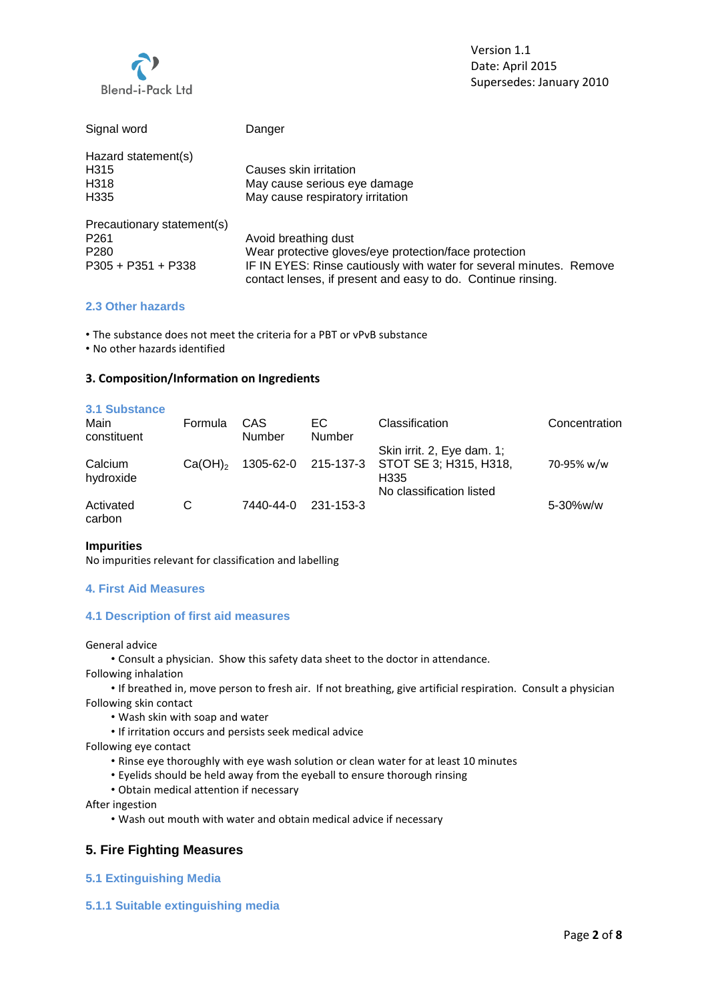

| Signal word                | Danger                                                                                                                              |
|----------------------------|-------------------------------------------------------------------------------------------------------------------------------------|
| Hazard statement(s)        |                                                                                                                                     |
| H <sub>315</sub>           | Causes skin irritation                                                                                                              |
| H318                       | May cause serious eye damage                                                                                                        |
| H <sub>335</sub>           | May cause respiratory irritation                                                                                                    |
| Precautionary statement(s) |                                                                                                                                     |
| P <sub>261</sub>           | Avoid breathing dust                                                                                                                |
| P <sub>280</sub>           | Wear protective gloves/eye protection/face protection                                                                               |
| $P305 + P351 + P338$       | IF IN EYES: Rinse cautiously with water for several minutes. Remove<br>contact lenses, if present and easy to do. Continue rinsing. |

## **2.3 Other hazards**

• The substance does not meet the criteria for a PBT or vPvB substance

• No other hazards identified

## **3. Composition/Information on Ingredients**

| 3.1 Substance<br>Main<br>constituent | Formula      | CAS<br>Number | EC.<br><b>Number</b> | Classification                                               | Concentration  |
|--------------------------------------|--------------|---------------|----------------------|--------------------------------------------------------------|----------------|
| Calcium<br>hydroxide                 | $Ca(OH)_{2}$ | 1305-62-0     | 215-137-3            | Skin irrit. 2, Eye dam. 1;<br>STOT SE 3; H315, H318,<br>H335 | 70-95% w/w     |
| Activated<br>carbon                  | С            | 7440-44-0     | 231-153-3            | No classification listed                                     | $5 - 30\%$ w/w |

#### **Impurities**

No impurities relevant for classification and labelling

## **4. First Aid Measures**

## **4.1 Description of first aid measures**

General advice

• Consult a physician. Show this safety data sheet to the doctor in attendance.

Following inhalation

• If breathed in, move person to fresh air. If not breathing, give artificial respiration. Consult a physician Following skin contact

- Wash skin with soap and water
- If irritation occurs and persists seek medical advice

Following eye contact

- Rinse eye thoroughly with eye wash solution or clean water for at least 10 minutes
- Eyelids should be held away from the eyeball to ensure thorough rinsing
- Obtain medical attention if necessary

After ingestion

• Wash out mouth with water and obtain medical advice if necessary

# **5. Fire Fighting Measures**

- **5.1 Extinguishing Media**
- **5.1.1 Suitable extinguishing media**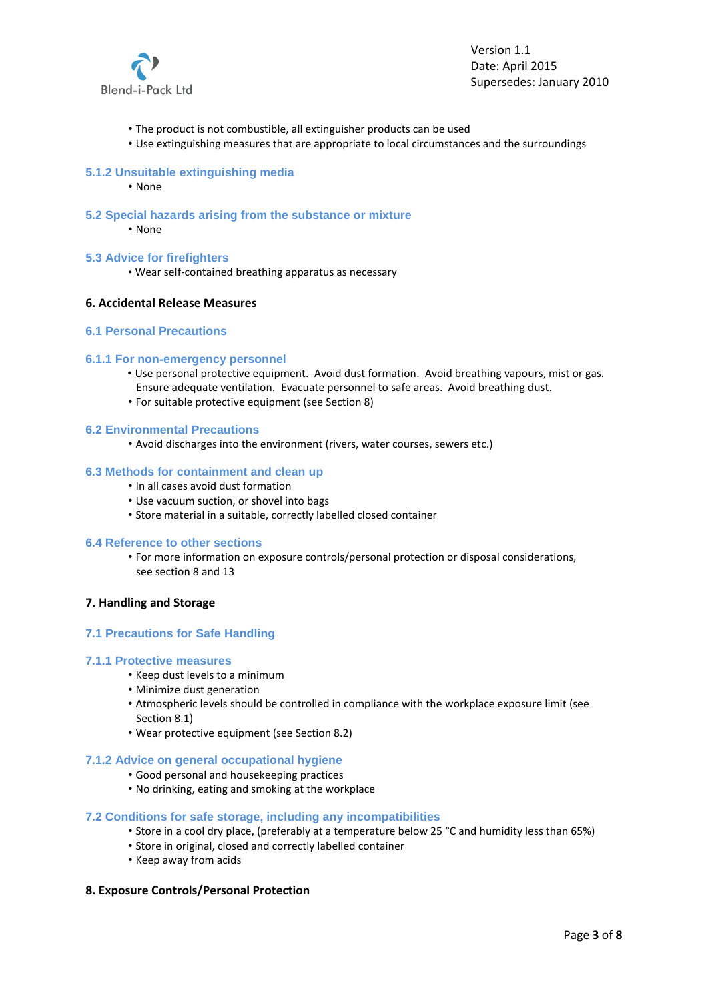

- The product is not combustible, all extinguisher products can be used
- Use extinguishing measures that are appropriate to local circumstances and the surroundings

#### **5.1.2 Unsuitable extinguishing media**

- None
- **5.2 Special hazards arising from the substance or mixture**
	- None

### **5.3 Advice for firefighters**

• Wear self-contained breathing apparatus as necessary

#### **6. Accidental Release Measures**

## **6.1 Personal Precautions**

#### **6.1.1 For non**‐**emergency personnel**

- Use personal protective equipment. Avoid dust formation. Avoid breathing vapours, mist or gas. Ensure adequate ventilation. Evacuate personnel to safe areas. Avoid breathing dust.
- For suitable protective equipment (see Section 8)

#### **6.2 Environmental Precautions**

• Avoid discharges into the environment (rivers, water courses, sewers etc.)

#### **6.3 Methods for containment and clean up**

- In all cases avoid dust formation
- Use vacuum suction, or shovel into bags
- Store material in a suitable, correctly labelled closed container

#### **6.4 Reference to other sections**

• For more information on exposure controls/personal protection or disposal considerations, see section 8 and 13

#### **7. Handling and Storage**

#### **7.1 Precautions for Safe Handling**

#### **7.1.1 Protective measures**

- Keep dust levels to a minimum
- Minimize dust generation
- Atmospheric levels should be controlled in compliance with the workplace exposure limit (see Section 8.1)
- Wear protective equipment (see Section 8.2)

## **7.1.2 Advice on general occupational hygiene**

- Good personal and housekeeping practices
- No drinking, eating and smoking at the workplace

## **7.2 Conditions for safe storage, including any incompatibilities**

- Store in a cool dry place, (preferably at a temperature below 25 °C and humidity less than 65%)
- Store in original, closed and correctly labelled container
- Keep away from acids

## **8. Exposure Controls/Personal Protection**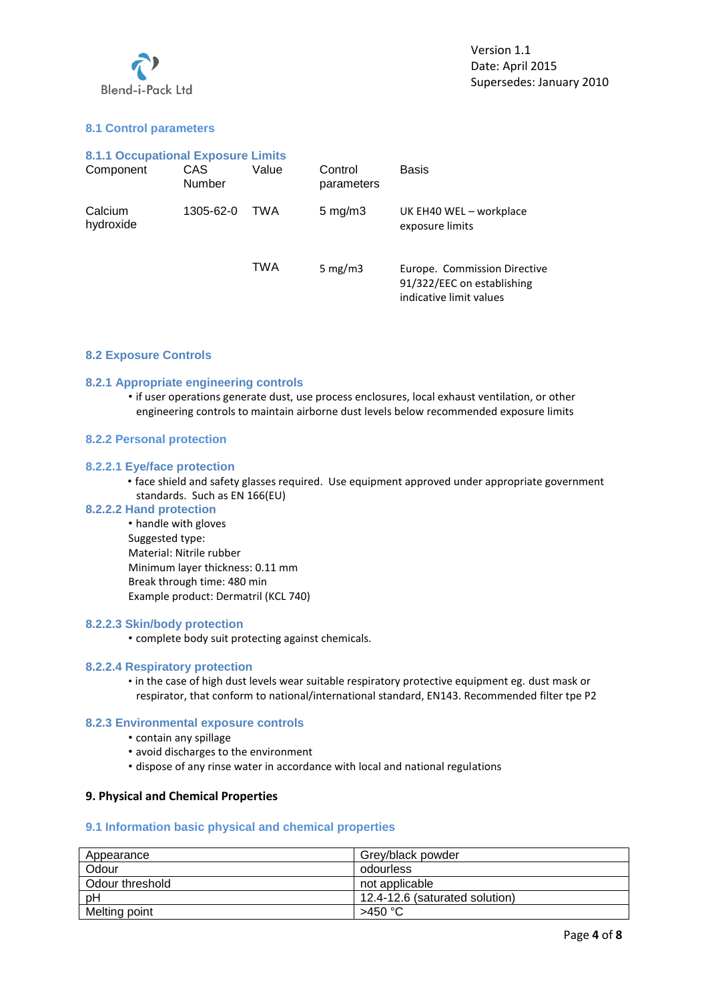

# **8.1 Control parameters**

| <b>8.1.1 Occupational Exposure Limits</b> |                |       |                       |                                                                                       |
|-------------------------------------------|----------------|-------|-----------------------|---------------------------------------------------------------------------------------|
| Component                                 | CAS.<br>Number | Value | Control<br>parameters | Basis                                                                                 |
| Calcium<br>hydroxide                      | 1305-62-0      | TWA   | $5 \text{ mg/m}$      | UK EH40 WEL - workplace<br>exposure limits                                            |
|                                           |                | TWA   | 5 mg/m $3$            | Europe. Commission Directive<br>91/322/EEC on establishing<br>indicative limit values |

## **8.2 Exposure Controls**

## **8.2.1 Appropriate engineering controls**

• if user operations generate dust, use process enclosures, local exhaust ventilation, or other engineering controls to maintain airborne dust levels below recommended exposure limits

### **8.2.2 Personal protection**

### **8.2.2.1 Eye/face protection**

• face shield and safety glasses required. Use equipment approved under appropriate government standards. Such as EN 166(EU)

#### **8.2.2.2 Hand protection**

• handle with gloves Suggested type: Material: Nitrile rubber Minimum layer thickness: 0.11 mm Break through time: 480 min Example product: Dermatril (KCL 740)

#### **8.2.2.3 Skin/body protection**

• complete body suit protecting against chemicals.

#### **8.2.2.4 Respiratory protection**

• in the case of high dust levels wear suitable respiratory protective equipment eg. dust mask or respirator, that conform to national/international standard, EN143. Recommended filter tpe P2

## **8.2.3 Environmental exposure controls**

- contain any spillage
- avoid discharges to the environment
- dispose of any rinse water in accordance with local and national regulations

## **9. Physical and Chemical Properties**

## **9.1 Information basic physical and chemical properties**

| Appearance      | Grey/black powder              |
|-----------------|--------------------------------|
| Odour           | odourless                      |
| Odour threshold | not applicable                 |
| рH              | 12.4-12.6 (saturated solution) |
| Melting point   | >450 °C                        |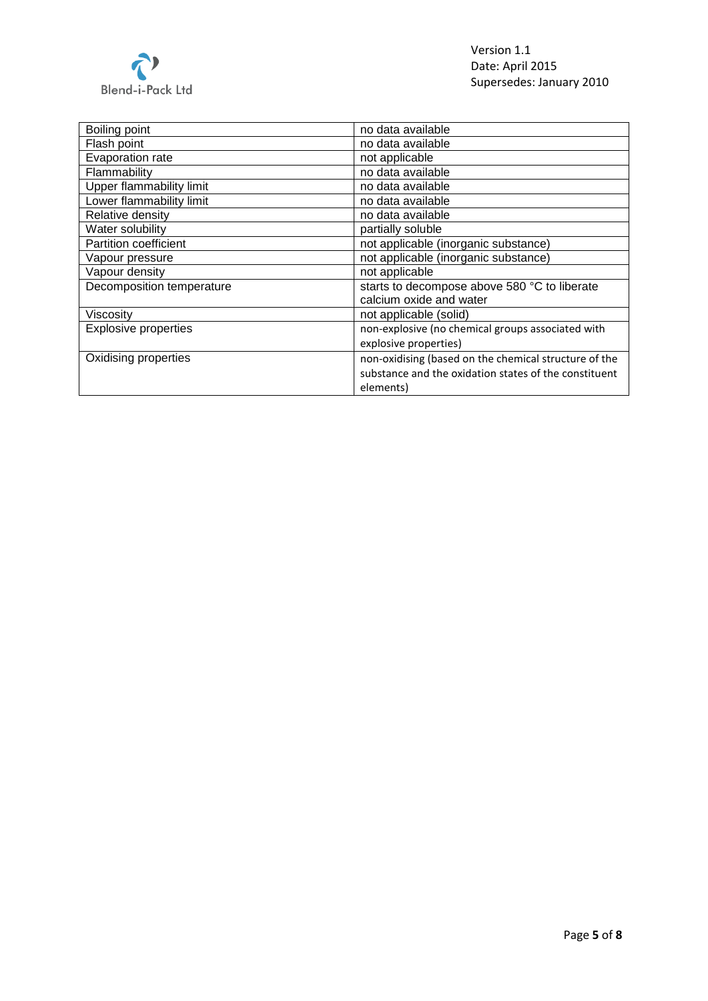

| Boiling point               | no data available                                     |
|-----------------------------|-------------------------------------------------------|
| Flash point                 | no data available                                     |
| Evaporation rate            | not applicable                                        |
| Flammability                | no data available                                     |
| Upper flammability limit    | no data available                                     |
| Lower flammability limit    | no data available                                     |
| Relative density            | no data available                                     |
| Water solubility            | partially soluble                                     |
| Partition coefficient       | not applicable (inorganic substance)                  |
| Vapour pressure             | not applicable (inorganic substance)                  |
| Vapour density              | not applicable                                        |
| Decomposition temperature   | starts to decompose above 580 °C to liberate          |
|                             | calcium oxide and water                               |
| Viscosity                   | not applicable (solid)                                |
| <b>Explosive properties</b> | non-explosive (no chemical groups associated with     |
|                             | explosive properties)                                 |
| Oxidising properties        | non-oxidising (based on the chemical structure of the |
|                             | substance and the oxidation states of the constituent |
|                             | elements)                                             |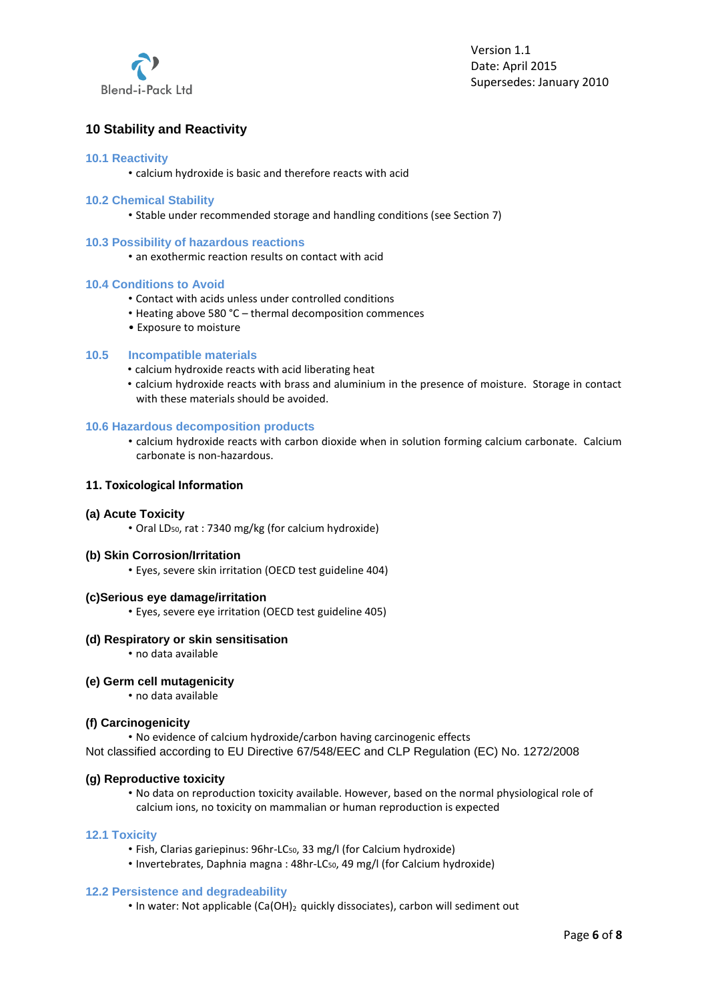

# **10 Stability and Reactivity**

## **10.1 Reactivity**

• calcium hydroxide is basic and therefore reacts with acid

## **10.2 Chemical Stability**

• Stable under recommended storage and handling conditions (see Section 7)

#### **10.3 Possibility of hazardous reactions**

• an exothermic reaction results on contact with acid

### **10.4 Conditions to Avoid**

- Contact with acids unless under controlled conditions
- Heating above 580 °C thermal decomposition commences
- Exposure to moisture

## **10.5 Incompatible materials**

- calcium hydroxide reacts with acid liberating heat
- calcium hydroxide reacts with brass and aluminium in the presence of moisture. Storage in contact with these materials should be avoided.

### **10.6 Hazardous decomposition products**

• calcium hydroxide reacts with carbon dioxide when in solution forming calcium carbonate. Calcium carbonate is non-hazardous.

### **11. Toxicological Information**

#### **(a) Acute Toxicity**

• Oral LD50, rat : 7340 mg/kg (for calcium hydroxide)

## **(b) Skin Corrosion/Irritation**

• Eyes, severe skin irritation (OECD test guideline 404)

#### **(c)Serious eye damage/irritation**

• Eyes, severe eye irritation (OECD test guideline 405)

## **(d) Respiratory or skin sensitisation**

• no data available

#### **(e) Germ cell mutagenicity**

• no data available

## **(f) Carcinogenicity**

• No evidence of calcium hydroxide/carbon having carcinogenic effects Not classified according to EU Directive 67/548/EEC and CLP Regulation (EC) No. 1272/2008

## **(g) Reproductive toxicity**

• No data on reproduction toxicity available. However, based on the normal physiological role of calcium ions, no toxicity on mammalian or human reproduction is expected

#### **12.1 Toxicity**

- Fish, Clarias gariepinus: 96hr-LC<sub>50</sub>, 33 mg/l (for Calcium hydroxide)
- Invertebrates, Daphnia magna : 48hr-LC<sub>50</sub>, 49 mg/l (for Calcium hydroxide)

#### **12.2 Persistence and degradeability**

• In water: Not applicable (Ca(OH)<sub>2</sub> quickly dissociates), carbon will sediment out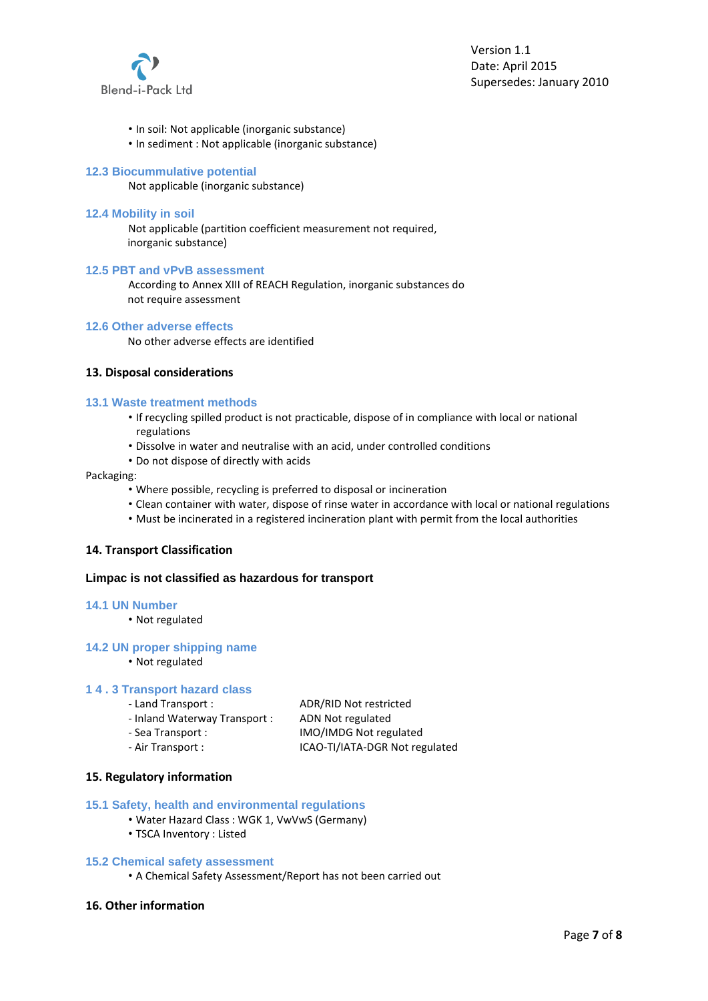

- In soil: Not applicable (inorganic substance)
- In sediment : Not applicable (inorganic substance)

### **12.3 Biocummulative potential**

Not applicable (inorganic substance)

#### **12.4 Mobility in soil**

Not applicable (partition coefficient measurement not required, inorganic substance)

#### **12.5 PBT and vPvB assessment**

According to Annex XIII of REACH Regulation, inorganic substances do not require assessment

#### **12.6 Other adverse effects**

No other adverse effects are identified

## **13. Disposal considerations**

#### **13.1 Waste treatment methods**

- If recycling spilled product is not practicable, dispose of in compliance with local or national regulations
- Dissolve in water and neutralise with an acid, under controlled conditions
- Do not dispose of directly with acids

#### Packaging:

- Where possible, recycling is preferred to disposal or incineration
- Clean container with water, dispose of rinse water in accordance with local or national regulations
- Must be incinerated in a registered incineration plant with permit from the local authorities

#### **14. Transport Classification**

## **Limpac is not classified as hazardous for transport**

#### **14.1 UN Number**

• Not regulated

#### **14.2 UN proper shipping name**

• Not regulated

#### **1 4 . 3 Transport hazard class**

| - Land Transport :            | ADR/RID Not restricted |
|-------------------------------|------------------------|
| - Inland Waterway Transport : | ADN Not regulated      |
| - Sea Transport :             | IMO/IMDG Not regulated |

‐ Air Transport : ICAO‐TI/IATA‐DGR Not regulated

# **15. Regulatory information**

#### **15.1 Safety, health and environmental regulations**

- Water Hazard Class : WGK 1, VwVwS (Germany)
- TSCA Inventory : Listed

#### **15.2 Chemical safety assessment**

• A Chemical Safety Assessment/Report has not been carried out

## **16. Other information**